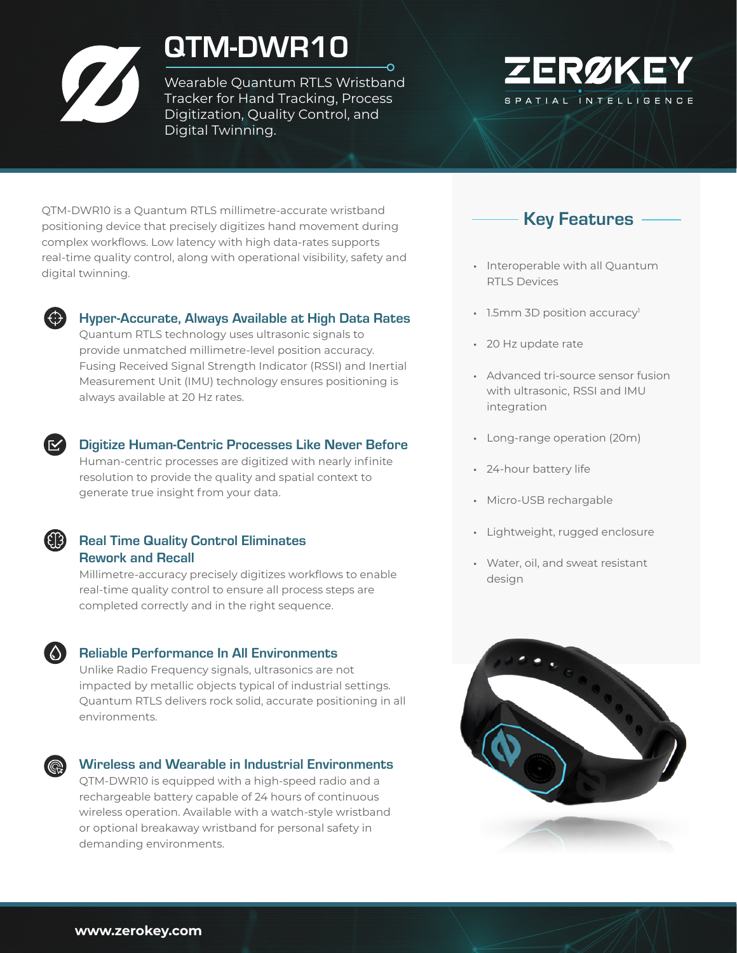# QTM-DWR10

Wearable Quantum RTLS Wristband Tracker for Hand Tracking, Process Digitization, Quality Control, and Digital Twinning.



QTM-DWR10 is a Quantum RTLS millimetre-accurate wristband positioning device that precisely digitizes hand movement during complex workflows. Low latency with high data-rates supports real-time quality control, along with operational visibility, safety and digital twinning.



#### Hyper-Accurate, Always Available at High Data Rates

Quantum RTLS technology uses ultrasonic signals to provide unmatched millimetre-level position accuracy. Fusing Received Signal Strength Indicator (RSSI) and Inertial Measurement Unit (IMU) technology ensures positioning is always available at 20 Hz rates.



#### Digitize Human-Centric Processes Like Never Before

Human-centric processes are digitized with nearly infinite resolution to provide the quality and spatial context to generate true insight from your data.

### **Real Time Quality Control Eliminates** Rework and Recall

Millimetre-accuracy precisely digitizes workflows to enable real-time quality control to ensure all process steps are completed correctly and in the right sequence.

#### **Conneils** Reliable Performance In All Environments

Unlike Radio Frequency signals, ultrasonics are not impacted by metallic objects typical of industrial settings. Quantum RTLS delivers rock solid, accurate positioning in all environments.

#### Wireless and Wearable in Industrial Environments

QTM-DWR10 is equipped with a high-speed radio and a rechargeable battery capable of 24 hours of continuous wireless operation. Available with a watch-style wristband or optional breakaway wristband for personal safety in demanding environments.



- Interoperable with all Quantum RTLS Devices
- $\cdot$  1.5mm 3D position accuracy<sup>1</sup>
- 20 Hz update rate
- Advanced tri-source sensor fusion with ultrasonic, RSSI and IMU integration
- Long-range operation (20m)
- 24-hour battery life
- Micro-USB rechargable
- Lightweight, rugged enclosure
- Water, oil, and sweat resistant design